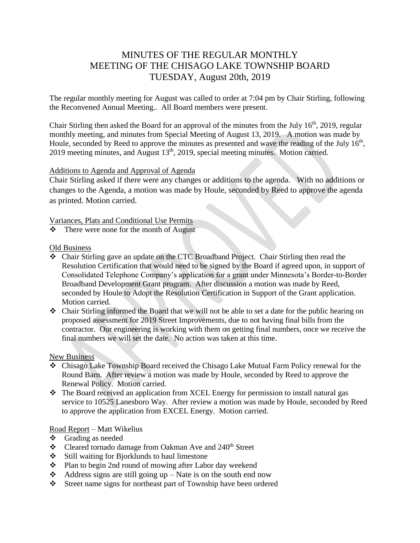# MINUTES OF THE REGULAR MONTHLY MEETING OF THE CHISAGO LAKE TOWNSHIP BOARD TUESDAY, August 20th, 2019

The regular monthly meeting for August was called to order at 7:04 pm by Chair Stirling, following the Reconvened Annual Meeting.. All Board members were present.

Chair Stirling then asked the Board for an approval of the minutes from the July  $16<sup>th</sup>$ , 2019, regular monthly meeting, and minutes from Special Meeting of August 13, 2019. A motion was made by Houle, seconded by Reed to approve the minutes as presented and wave the reading of the July 16<sup>th</sup>, 2019 meeting minutes, and August 13<sup>th</sup>, 2019, special meeting minutes. Motion carried.

# Additions to Agenda and Approval of Agenda

Chair Stirling asked if there were any changes or additions to the agenda. With no additions or changes to the Agenda, a motion was made by Houle, seconded by Reed to approve the agenda as printed. Motion carried.

Variances, Plats and Conditional Use Permits

There were none for the month of August

#### Old Business

- Chair Stirling gave an update on the CTC Broadband Project. Chair Stirling then read the Resolution Certification that would need to be signed by the Board if agreed upon, in support of Consolidated Telephone Company's application for a grant under Minnesota's Border-to-Border Broadband Development Grant program. After discussion a motion was made by Reed, seconded by Houle to Adopt the Resolution Certification in Support of the Grant application. Motion carried.
- $\triangle$  Chair Stirling informed the Board that we will not be able to set a date for the public hearing on proposed assessment for 2019 Street Improvements, due to not having final bills from the contractor. Our engineering is working with them on getting final numbers, once we receive the final numbers we will set the date. No action was taken at this time.

# New Business

- Chisago Lake Township Board received the Chisago Lake Mutual Farm Policy renewal for the Round Barn. After review a motion was made by Houle, seconded by Reed to approve the Renewal Policy. Motion carried.
- The Board received an application from XCEL Energy for permission to install natural gas service to 10525 Lanesboro Way. After review a motion was made by Houle, seconded by Reed to approve the application from EXCEL Energy. Motion carried.

# Road Report – Matt Wikelius

- Grading as needed
- Cleared tornado damage from Oakman Ave and 240 th Street
- $\div$  Still waiting for Bjorklunds to haul limestone
- Plan to begin 2nd round of mowing after Labor day weekend
- Address signs are still going up Nate is on the south end now
- Street name signs for northeast part of Township have been ordered